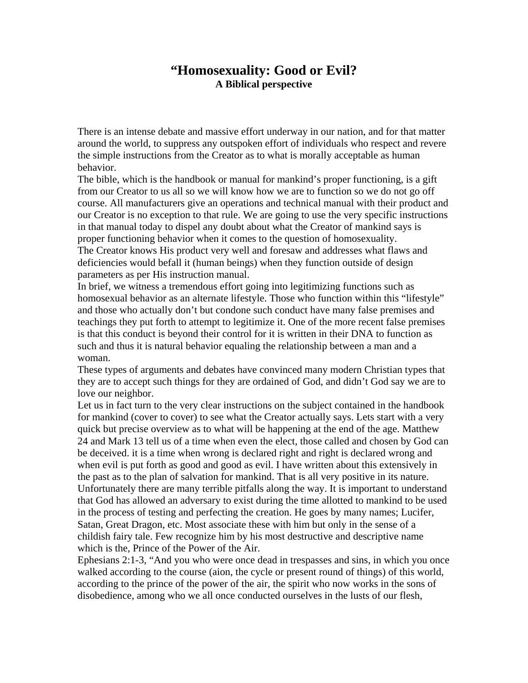## **"Homosexuality: Good or Evil? A Biblical perspective**

There is an intense debate and massive effort underway in our nation, and for that matter around the world, to suppress any outspoken effort of individuals who respect and revere the simple instructions from the Creator as to what is morally acceptable as human behavior.

The bible, which is the handbook or manual for mankind's proper functioning, is a gift from our Creator to us all so we will know how we are to function so we do not go off course. All manufacturers give an operations and technical manual with their product and our Creator is no exception to that rule. We are going to use the very specific instructions in that manual today to dispel any doubt about what the Creator of mankind says is proper functioning behavior when it comes to the question of homosexuality. The Creator knows His product very well and foresaw and addresses what flaws and deficiencies would befall it (human beings) when they function outside of design

parameters as per His instruction manual.

In brief, we witness a tremendous effort going into legitimizing functions such as homosexual behavior as an alternate lifestyle. Those who function within this "lifestyle" and those who actually don't but condone such conduct have many false premises and teachings they put forth to attempt to legitimize it. One of the more recent false premises is that this conduct is beyond their control for it is written in their DNA to function as such and thus it is natural behavior equaling the relationship between a man and a woman.

These types of arguments and debates have convinced many modern Christian types that they are to accept such things for they are ordained of God, and didn't God say we are to love our neighbor.

Let us in fact turn to the very clear instructions on the subject contained in the handbook for mankind (cover to cover) to see what the Creator actually says. Lets start with a very quick but precise overview as to what will be happening at the end of the age. Matthew 24 and Mark 13 tell us of a time when even the elect, those called and chosen by God can be deceived. it is a time when wrong is declared right and right is declared wrong and when evil is put forth as good and good as evil. I have written about this extensively in the past as to the plan of salvation for mankind. That is all very positive in its nature. Unfortunately there are many terrible pitfalls along the way. It is important to understand that God has allowed an adversary to exist during the time allotted to mankind to be used in the process of testing and perfecting the creation. He goes by many names; Lucifer, Satan, Great Dragon, etc. Most associate these with him but only in the sense of a childish fairy tale. Few recognize him by his most destructive and descriptive name which is the, Prince of the Power of the Air.

Ephesians 2:1-3, "And you who were once dead in trespasses and sins, in which you once walked according to the course (aion, the cycle or present round of things) of this world, according to the prince of the power of the air, the spirit who now works in the sons of disobedience, among who we all once conducted ourselves in the lusts of our flesh,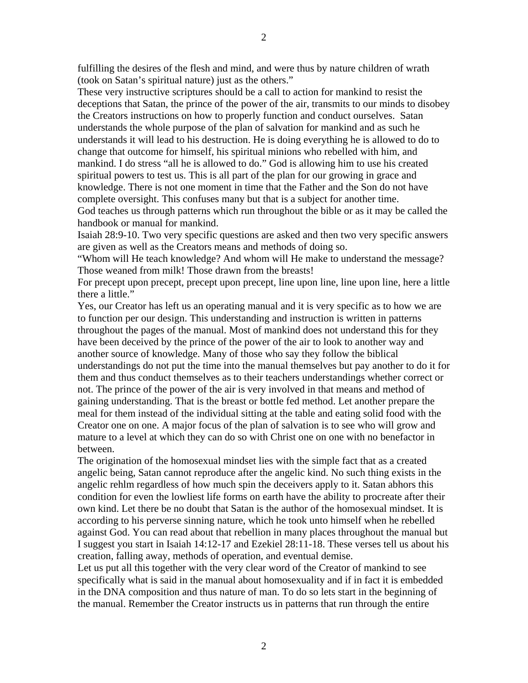fulfilling the desires of the flesh and mind, and were thus by nature children of wrath (took on Satan's spiritual nature) just as the others."

These very instructive scriptures should be a call to action for mankind to resist the deceptions that Satan, the prince of the power of the air, transmits to our minds to disobey the Creators instructions on how to properly function and conduct ourselves. Satan understands the whole purpose of the plan of salvation for mankind and as such he understands it will lead to his destruction. He is doing everything he is allowed to do to change that outcome for himself, his spiritual minions who rebelled with him, and mankind. I do stress "all he is allowed to do." God is allowing him to use his created spiritual powers to test us. This is all part of the plan for our growing in grace and knowledge. There is not one moment in time that the Father and the Son do not have complete oversight. This confuses many but that is a subject for another time.

God teaches us through patterns which run throughout the bible or as it may be called the handbook or manual for mankind.

Isaiah 28:9-10. Two very specific questions are asked and then two very specific answers are given as well as the Creators means and methods of doing so.

"Whom will He teach knowledge? And whom will He make to understand the message? Those weaned from milk! Those drawn from the breasts!

For precept upon precept, precept upon precept, line upon line, line upon line, here a little there a little."

Yes, our Creator has left us an operating manual and it is very specific as to how we are to function per our design. This understanding and instruction is written in patterns throughout the pages of the manual. Most of mankind does not understand this for they have been deceived by the prince of the power of the air to look to another way and another source of knowledge. Many of those who say they follow the biblical understandings do not put the time into the manual themselves but pay another to do it for them and thus conduct themselves as to their teachers understandings whether correct or not. The prince of the power of the air is very involved in that means and method of gaining understanding. That is the breast or bottle fed method. Let another prepare the meal for them instead of the individual sitting at the table and eating solid food with the Creator one on one. A major focus of the plan of salvation is to see who will grow and mature to a level at which they can do so with Christ one on one with no benefactor in between.

The origination of the homosexual mindset lies with the simple fact that as a created angelic being, Satan cannot reproduce after the angelic kind. No such thing exists in the angelic rehlm regardless of how much spin the deceivers apply to it. Satan abhors this condition for even the lowliest life forms on earth have the ability to procreate after their own kind. Let there be no doubt that Satan is the author of the homosexual mindset. It is according to his perverse sinning nature, which he took unto himself when he rebelled against God. You can read about that rebellion in many places throughout the manual but I suggest you start in Isaiah 14:12-17 and Ezekiel 28:11-18. These verses tell us about his creation, falling away, methods of operation, and eventual demise.

Let us put all this together with the very clear word of the Creator of mankind to see specifically what is said in the manual about homosexuality and if in fact it is embedded in the DNA composition and thus nature of man. To do so lets start in the beginning of the manual. Remember the Creator instructs us in patterns that run through the entire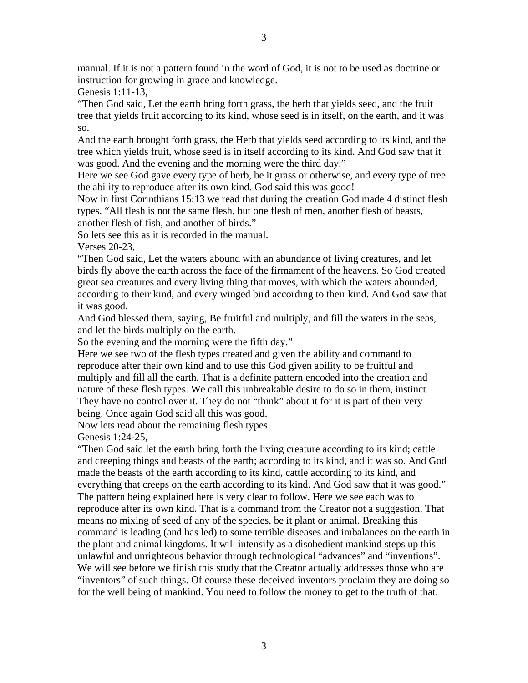manual. If it is not a pattern found in the word of God, it is not to be used as doctrine or instruction for growing in grace and knowledge.

Genesis 1:11-13,

"Then God said, Let the earth bring forth grass, the herb that yields seed, and the fruit tree that yields fruit according to its kind, whose seed is in itself, on the earth, and it was so.

And the earth brought forth grass, the Herb that yields seed according to its kind, and the tree which yields fruit, whose seed is in itself according to its kind. And God saw that it was good. And the evening and the morning were the third day."

Here we see God gave every type of herb, be it grass or otherwise, and every type of tree the ability to reproduce after its own kind. God said this was good!

Now in first Corinthians 15:13 we read that during the creation God made 4 distinct flesh types. "All flesh is not the same flesh, but one flesh of men, another flesh of beasts, another flesh of fish, and another of birds."

So lets see this as it is recorded in the manual.

Verses 20-23,

"Then God said, Let the waters abound with an abundance of living creatures, and let birds fly above the earth across the face of the firmament of the heavens. So God created great sea creatures and every living thing that moves, with which the waters abounded, according to their kind, and every winged bird according to their kind. And God saw that it was good.

And God blessed them, saying, Be fruitful and multiply, and fill the waters in the seas, and let the birds multiply on the earth.

So the evening and the morning were the fifth day."

Here we see two of the flesh types created and given the ability and command to reproduce after their own kind and to use this God given ability to be fruitful and multiply and fill all the earth. That is a definite pattern encoded into the creation and nature of these flesh types. We call this unbreakable desire to do so in them, instinct. They have no control over it. They do not "think" about it for it is part of their very being. Once again God said all this was good.

Now lets read about the remaining flesh types.

Genesis 1:24-25,

"Then God said let the earth bring forth the living creature according to its kind; cattle and creeping things and beasts of the earth; according to its kind, and it was so. And God made the beasts of the earth according to its kind, cattle according to its kind, and everything that creeps on the earth according to its kind. And God saw that it was good." The pattern being explained here is very clear to follow. Here we see each was to reproduce after its own kind. That is a command from the Creator not a suggestion. That means no mixing of seed of any of the species, be it plant or animal. Breaking this command is leading (and has led) to some terrible diseases and imbalances on the earth in the plant and animal kingdoms. It will intensify as a disobedient mankind steps up this unlawful and unrighteous behavior through technological "advances" and "inventions". We will see before we finish this study that the Creator actually addresses those who are "inventors" of such things. Of course these deceived inventors proclaim they are doing so for the well being of mankind. You need to follow the money to get to the truth of that.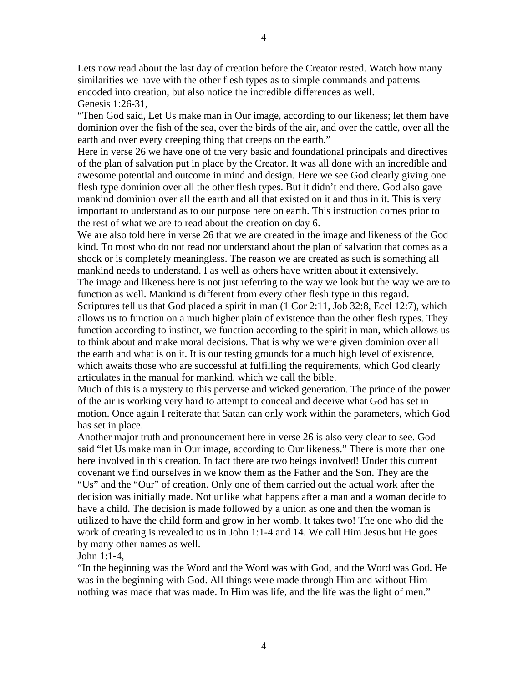Lets now read about the last day of creation before the Creator rested. Watch how many similarities we have with the other flesh types as to simple commands and patterns encoded into creation, but also notice the incredible differences as well. Genesis 1:26-31,

"Then God said, Let Us make man in Our image, according to our likeness; let them have dominion over the fish of the sea, over the birds of the air, and over the cattle, over all the earth and over every creeping thing that creeps on the earth."

Here in verse 26 we have one of the very basic and foundational principals and directives of the plan of salvation put in place by the Creator. It was all done with an incredible and awesome potential and outcome in mind and design. Here we see God clearly giving one flesh type dominion over all the other flesh types. But it didn't end there. God also gave mankind dominion over all the earth and all that existed on it and thus in it. This is very important to understand as to our purpose here on earth. This instruction comes prior to the rest of what we are to read about the creation on day 6.

We are also told here in verse 26 that we are created in the image and likeness of the God kind. To most who do not read nor understand about the plan of salvation that comes as a shock or is completely meaningless. The reason we are created as such is something all mankind needs to understand. I as well as others have written about it extensively. The image and likeness here is not just referring to the way we look but the way we are to

function as well. Mankind is different from every other flesh type in this regard. Scriptures tell us that God placed a spirit in man (1 Cor 2:11, Job 32:8, Eccl 12:7), which allows us to function on a much higher plain of existence than the other flesh types. They function according to instinct, we function according to the spirit in man, which allows us to think about and make moral decisions. That is why we were given dominion over all the earth and what is on it. It is our testing grounds for a much high level of existence, which awaits those who are successful at fulfilling the requirements, which God clearly articulates in the manual for mankind, which we call the bible.

Much of this is a mystery to this perverse and wicked generation. The prince of the power of the air is working very hard to attempt to conceal and deceive what God has set in motion. Once again I reiterate that Satan can only work within the parameters, which God has set in place.

Another major truth and pronouncement here in verse 26 is also very clear to see. God said "let Us make man in Our image, according to Our likeness." There is more than one here involved in this creation. In fact there are two beings involved! Under this current covenant we find ourselves in we know them as the Father and the Son. They are the "Us" and the "Our" of creation. Only one of them carried out the actual work after the decision was initially made. Not unlike what happens after a man and a woman decide to have a child. The decision is made followed by a union as one and then the woman is utilized to have the child form and grow in her womb. It takes two! The one who did the work of creating is revealed to us in John 1:1-4 and 14. We call Him Jesus but He goes by many other names as well.

John 1:1-4,

"In the beginning was the Word and the Word was with God, and the Word was God. He was in the beginning with God. All things were made through Him and without Him nothing was made that was made. In Him was life, and the life was the light of men."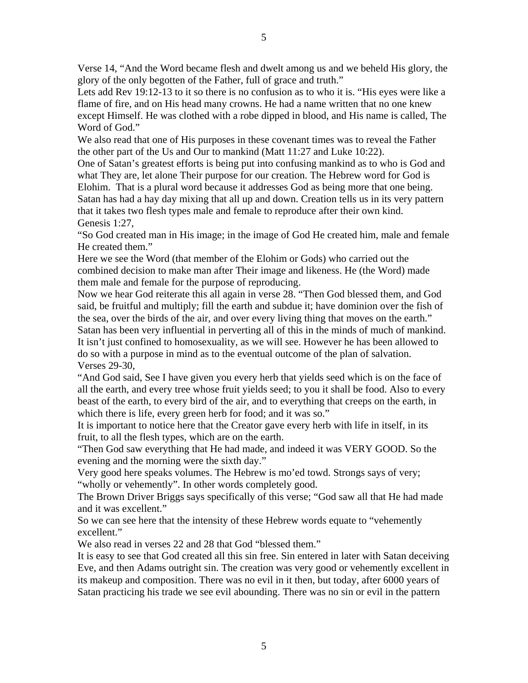Verse 14, "And the Word became flesh and dwelt among us and we beheld His glory, the glory of the only begotten of the Father, full of grace and truth."

Lets add Rev 19:12-13 to it so there is no confusion as to who it is. "His eyes were like a flame of fire, and on His head many crowns. He had a name written that no one knew except Himself. He was clothed with a robe dipped in blood, and His name is called, The Word of God."

We also read that one of His purposes in these covenant times was to reveal the Father the other part of the Us and Our to mankind (Matt 11:27 and Luke 10:22).

One of Satan's greatest efforts is being put into confusing mankind as to who is God and what They are, let alone Their purpose for our creation. The Hebrew word for God is Elohim. That is a plural word because it addresses God as being more that one being. Satan has had a hay day mixing that all up and down. Creation tells us in its very pattern that it takes two flesh types male and female to reproduce after their own kind. Genesis 1:27,

"So God created man in His image; in the image of God He created him, male and female He created them."

Here we see the Word (that member of the Elohim or Gods) who carried out the combined decision to make man after Their image and likeness. He (the Word) made them male and female for the purpose of reproducing.

Now we hear God reiterate this all again in verse 28. "Then God blessed them, and God said, be fruitful and multiply; fill the earth and subdue it; have dominion over the fish of the sea, over the birds of the air, and over every living thing that moves on the earth." Satan has been very influential in perverting all of this in the minds of much of mankind. It isn't just confined to homosexuality, as we will see. However he has been allowed to do so with a purpose in mind as to the eventual outcome of the plan of salvation. Verses 29-30,

"And God said, See I have given you every herb that yields seed which is on the face of all the earth, and every tree whose fruit yields seed; to you it shall be food. Also to every beast of the earth, to every bird of the air, and to everything that creeps on the earth, in which there is life, every green herb for food; and it was so."

It is important to notice here that the Creator gave every herb with life in itself, in its fruit, to all the flesh types, which are on the earth.

"Then God saw everything that He had made, and indeed it was VERY GOOD. So the evening and the morning were the sixth day."

Very good here speaks volumes. The Hebrew is mo'ed towd. Strongs says of very; "wholly or vehemently". In other words completely good.

The Brown Driver Briggs says specifically of this verse; "God saw all that He had made and it was excellent."

So we can see here that the intensity of these Hebrew words equate to "vehemently excellent."

We also read in verses 22 and 28 that God "blessed them."

It is easy to see that God created all this sin free. Sin entered in later with Satan deceiving Eve, and then Adams outright sin. The creation was very good or vehemently excellent in its makeup and composition. There was no evil in it then, but today, after 6000 years of Satan practicing his trade we see evil abounding. There was no sin or evil in the pattern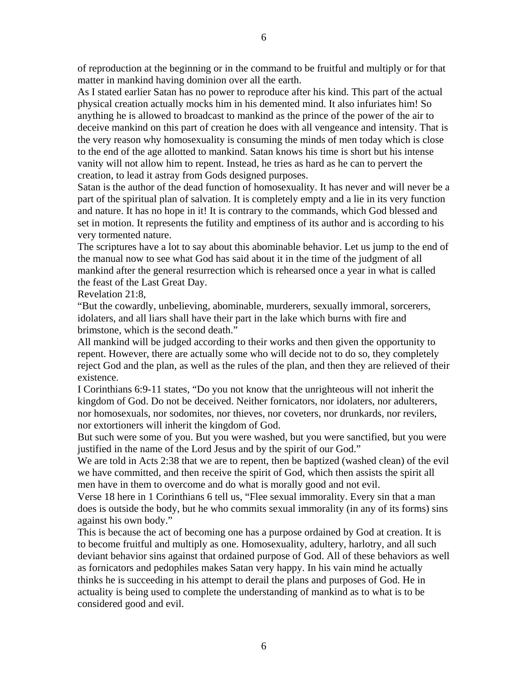of reproduction at the beginning or in the command to be fruitful and multiply or for that matter in mankind having dominion over all the earth.

As I stated earlier Satan has no power to reproduce after his kind. This part of the actual physical creation actually mocks him in his demented mind. It also infuriates him! So anything he is allowed to broadcast to mankind as the prince of the power of the air to deceive mankind on this part of creation he does with all vengeance and intensity. That is the very reason why homosexuality is consuming the minds of men today which is close to the end of the age allotted to mankind. Satan knows his time is short but his intense vanity will not allow him to repent. Instead, he tries as hard as he can to pervert the creation, to lead it astray from Gods designed purposes.

Satan is the author of the dead function of homosexuality. It has never and will never be a part of the spiritual plan of salvation. It is completely empty and a lie in its very function and nature. It has no hope in it! It is contrary to the commands, which God blessed and set in motion. It represents the futility and emptiness of its author and is according to his very tormented nature.

The scriptures have a lot to say about this abominable behavior. Let us jump to the end of the manual now to see what God has said about it in the time of the judgment of all mankind after the general resurrection which is rehearsed once a year in what is called the feast of the Last Great Day.

Revelation 21:8,

"But the cowardly, unbelieving, abominable, murderers, sexually immoral, sorcerers, idolaters, and all liars shall have their part in the lake which burns with fire and brimstone, which is the second death."

All mankind will be judged according to their works and then given the opportunity to repent. However, there are actually some who will decide not to do so, they completely reject God and the plan, as well as the rules of the plan, and then they are relieved of their existence.

I Corinthians 6:9-11 states, "Do you not know that the unrighteous will not inherit the kingdom of God. Do not be deceived. Neither fornicators, nor idolaters, nor adulterers, nor homosexuals, nor sodomites, nor thieves, nor coveters, nor drunkards, nor revilers, nor extortioners will inherit the kingdom of God.

But such were some of you. But you were washed, but you were sanctified, but you were justified in the name of the Lord Jesus and by the spirit of our God."

We are told in Acts 2:38 that we are to repent, then be baptized (washed clean) of the evil we have committed, and then receive the spirit of God, which then assists the spirit all men have in them to overcome and do what is morally good and not evil.

Verse 18 here in 1 Corinthians 6 tell us, "Flee sexual immorality. Every sin that a man does is outside the body, but he who commits sexual immorality (in any of its forms) sins against his own body."

This is because the act of becoming one has a purpose ordained by God at creation. It is to become fruitful and multiply as one. Homosexuality, adultery, harlotry, and all such deviant behavior sins against that ordained purpose of God. All of these behaviors as well as fornicators and pedophiles makes Satan very happy. In his vain mind he actually thinks he is succeeding in his attempt to derail the plans and purposes of God. He in actuality is being used to complete the understanding of mankind as to what is to be considered good and evil.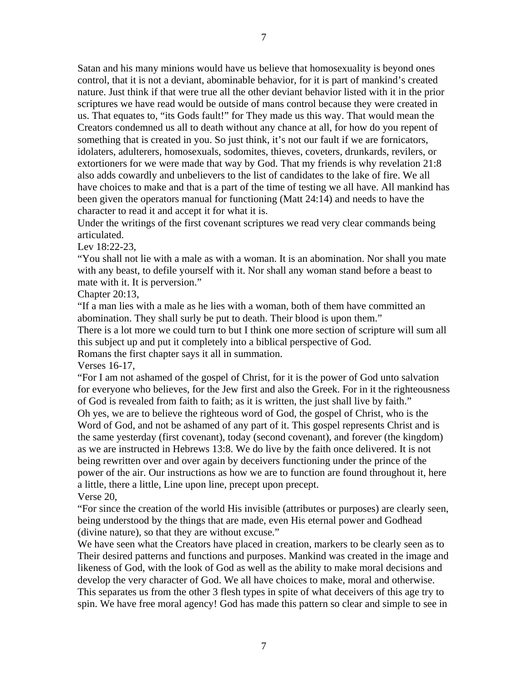Satan and his many minions would have us believe that homosexuality is beyond ones control, that it is not a deviant, abominable behavior, for it is part of mankind's created nature. Just think if that were true all the other deviant behavior listed with it in the prior scriptures we have read would be outside of mans control because they were created in us. That equates to, "its Gods fault!" for They made us this way. That would mean the Creators condemned us all to death without any chance at all, for how do you repent of something that is created in you. So just think, it's not our fault if we are fornicators, idolaters, adulterers, homosexuals, sodomites, thieves, coveters, drunkards, revilers, or extortioners for we were made that way by God. That my friends is why revelation 21:8 also adds cowardly and unbelievers to the list of candidates to the lake of fire. We all have choices to make and that is a part of the time of testing we all have. All mankind has been given the operators manual for functioning (Matt 24:14) and needs to have the character to read it and accept it for what it is.

Under the writings of the first covenant scriptures we read very clear commands being articulated.

Lev 18:22-23,

"You shall not lie with a male as with a woman. It is an abomination. Nor shall you mate with any beast, to defile yourself with it. Nor shall any woman stand before a beast to mate with it. It is perversion."

Chapter 20:13,

"If a man lies with a male as he lies with a woman, both of them have committed an abomination. They shall surly be put to death. Their blood is upon them."

There is a lot more we could turn to but I think one more section of scripture will sum all this subject up and put it completely into a biblical perspective of God.

Romans the first chapter says it all in summation.

Verses 16-17,

"For I am not ashamed of the gospel of Christ, for it is the power of God unto salvation for everyone who believes, for the Jew first and also the Greek. For in it the righteousness of God is revealed from faith to faith; as it is written, the just shall live by faith." Oh yes, we are to believe the righteous word of God, the gospel of Christ, who is the Word of God, and not be ashamed of any part of it. This gospel represents Christ and is the same yesterday (first covenant), today (second covenant), and forever (the kingdom) as we are instructed in Hebrews 13:8. We do live by the faith once delivered. It is not being rewritten over and over again by deceivers functioning under the prince of the power of the air. Our instructions as how we are to function are found throughout it, here a little, there a little, Line upon line, precept upon precept. Verse 20,

"For since the creation of the world His invisible (attributes or purposes) are clearly seen, being understood by the things that are made, even His eternal power and Godhead (divine nature), so that they are without excuse."

We have seen what the Creators have placed in creation, markers to be clearly seen as to Their desired patterns and functions and purposes. Mankind was created in the image and likeness of God, with the look of God as well as the ability to make moral decisions and develop the very character of God. We all have choices to make, moral and otherwise. This separates us from the other 3 flesh types in spite of what deceivers of this age try to spin. We have free moral agency! God has made this pattern so clear and simple to see in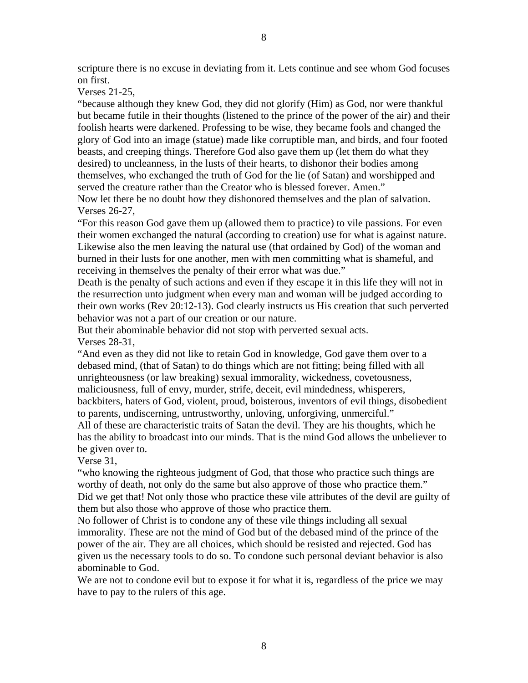scripture there is no excuse in deviating from it. Lets continue and see whom God focuses on first.

Verses 21-25,

"because although they knew God, they did not glorify (Him) as God, nor were thankful but became futile in their thoughts (listened to the prince of the power of the air) and their foolish hearts were darkened. Professing to be wise, they became fools and changed the glory of God into an image (statue) made like corruptible man, and birds, and four footed beasts, and creeping things. Therefore God also gave them up (let them do what they desired) to uncleanness, in the lusts of their hearts, to dishonor their bodies among themselves, who exchanged the truth of God for the lie (of Satan) and worshipped and served the creature rather than the Creator who is blessed forever. Amen."

Now let there be no doubt how they dishonored themselves and the plan of salvation. Verses 26-27,

"For this reason God gave them up (allowed them to practice) to vile passions. For even their women exchanged the natural (according to creation) use for what is against nature. Likewise also the men leaving the natural use (that ordained by God) of the woman and burned in their lusts for one another, men with men committing what is shameful, and receiving in themselves the penalty of their error what was due."

Death is the penalty of such actions and even if they escape it in this life they will not in the resurrection unto judgment when every man and woman will be judged according to their own works (Rev 20:12-13). God clearly instructs us His creation that such perverted behavior was not a part of our creation or our nature.

But their abominable behavior did not stop with perverted sexual acts. Verses 28-31,

"And even as they did not like to retain God in knowledge, God gave them over to a debased mind, (that of Satan) to do things which are not fitting; being filled with all unrighteousness (or law breaking) sexual immorality, wickedness, covetousness, maliciousness, full of envy, murder, strife, deceit, evil mindedness, whisperers, backbiters, haters of God, violent, proud, boisterous, inventors of evil things, disobedient to parents, undiscerning, untrustworthy, unloving, unforgiving, unmerciful."

All of these are characteristic traits of Satan the devil. They are his thoughts, which he has the ability to broadcast into our minds. That is the mind God allows the unbeliever to be given over to.

Verse 31,

"who knowing the righteous judgment of God, that those who practice such things are worthy of death, not only do the same but also approve of those who practice them." Did we get that! Not only those who practice these vile attributes of the devil are guilty of them but also those who approve of those who practice them.

No follower of Christ is to condone any of these vile things including all sexual immorality. These are not the mind of God but of the debased mind of the prince of the power of the air. They are all choices, which should be resisted and rejected. God has given us the necessary tools to do so. To condone such personal deviant behavior is also abominable to God.

We are not to condone evil but to expose it for what it is, regardless of the price we may have to pay to the rulers of this age.